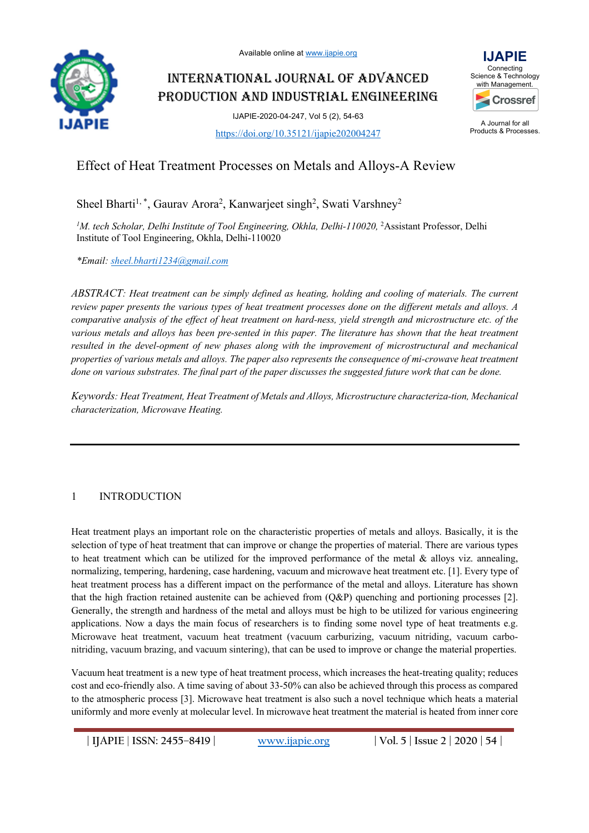

# INTERNATIONAL JOURNAL OF ADVANCED PRODUCTION AND INDUSTRIAL ENGINEERING

IJAPIE-2020-04-247, Vol 5 (2), 54-63



https://doi.org/10.35121/ijapie202004247

# Effect of Heat Treatment Processes on Metals and Alloys-A Review

Sheel Bharti<sup>1,\*</sup>, Gaurav Arora<sup>2</sup>, Kanwarjeet singh<sup>2</sup>, Swati Varshney<sup>2</sup>

<sup>1</sup>M. tech Scholar, Delhi Institute of Tool Engineering, Okhla, Delhi-110020, <sup>2</sup>Assistant Professor, Delhi Institute of Tool Engineering, Okhla, Delhi-110020

*\*Email: sheel.bharti1234@gmail.com*

*ABSTRACT: Heat treatment can be simply defined as heating, holding and cooling of materials. The current review paper presents the various types of heat treatment processes done on the different metals and alloys. A comparative analysis of the effect of heat treatment on hard-ness, yield strength and microstructure etc. of the various metals and alloys has been pre-sented in this paper. The literature has shown that the heat treatment resulted in the devel-opment of new phases along with the improvement of microstructural and mechanical properties of various metals and alloys. The paper also represents the consequence of mi-crowave heat treatment done on various substrates. The final part of the paper discusses the suggested future work that can be done.*

*Keywords: Heat Treatment, Heat Treatment of Metals and Alloys, Microstructure characteriza-tion, Mechanical characterization, Microwave Heating.*

# 1 INTRODUCTION

Heat treatment plays an important role on the characteristic properties of metals and alloys. Basically, it is the selection of type of heat treatment that can improve or change the properties of material. There are various types to heat treatment which can be utilized for the improved performance of the metal & alloys viz. annealing, normalizing, tempering, hardening, case hardening, vacuum and microwave heat treatment etc. [1]. Every type of heat treatment process has a different impact on the performance of the metal and alloys. Literature has shown that the high fraction retained austenite can be achieved from (Q&P) quenching and portioning processes [2]. Generally, the strength and hardness of the metal and alloys must be high to be utilized for various engineering applications. Now a days the main focus of researchers is to finding some novel type of heat treatments e.g. Microwave heat treatment, vacuum heat treatment (vacuum carburizing, vacuum nitriding, vacuum carbonitriding, vacuum brazing, and vacuum sintering), that can be used to improve or change the material properties.

Vacuum heat treatment is a new type of heat treatment process, which increases the heat-treating quality; reduces cost and eco-friendly also. A time saving of about 33-50% can also be achieved through this process as compared to the atmospheric process [3]. Microwave heat treatment is also such a novel technique which heats a material uniformly and more evenly at molecular level. In microwave heat treatment the material is heated from inner core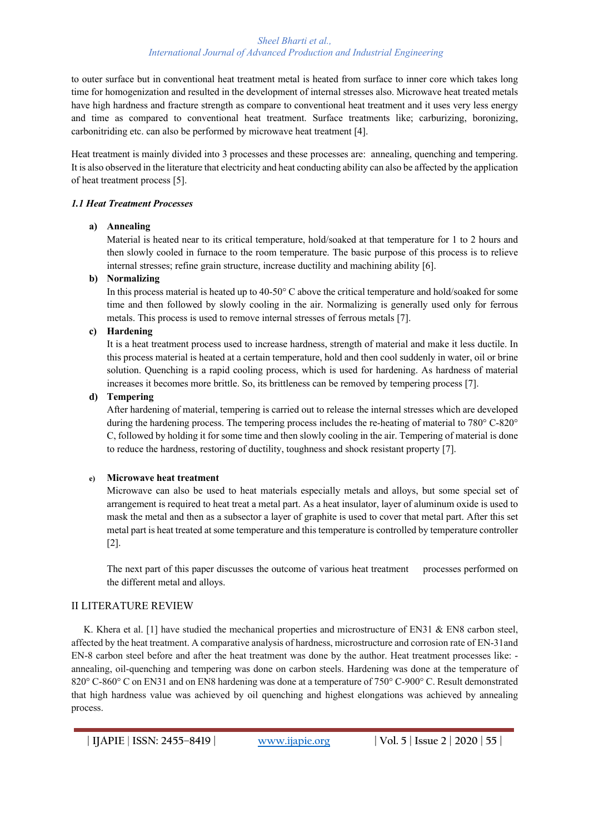to outer surface but in conventional heat treatment metal is heated from surface to inner core which takes long time for homogenization and resulted in the development of internal stresses also. Microwave heat treated metals have high hardness and fracture strength as compare to conventional heat treatment and it uses very less energy and time as compared to conventional heat treatment. Surface treatments like; carburizing, boronizing, carbonitriding etc. can also be performed by microwave heat treatment [4].

Heat treatment is mainly divided into 3 processes and these processes are: annealing, quenching and tempering. It is also observed in the literature that electricity and heat conducting ability can also be affected by the application of heat treatment process [5].

## *1.1 Heat Treatment Processes*

# **a) Annealing**

Material is heated near to its critical temperature, hold/soaked at that temperature for 1 to 2 hours and then slowly cooled in furnace to the room temperature. The basic purpose of this process is to relieve internal stresses; refine grain structure, increase ductility and machining ability [6].

# **b) Normalizing**

In this process material is heated up to 40-50° C above the critical temperature and hold/soaked for some time and then followed by slowly cooling in the air. Normalizing is generally used only for ferrous metals. This process is used to remove internal stresses of ferrous metals [7].

# **c) Hardening**

It is a heat treatment process used to increase hardness, strength of material and make it less ductile. In this process material is heated at a certain temperature, hold and then cool suddenly in water, oil or brine solution. Quenching is a rapid cooling process, which is used for hardening. As hardness of material increases it becomes more brittle. So, its brittleness can be removed by tempering process [7].

## **d) Tempering**

After hardening of material, tempering is carried out to release the internal stresses which are developed during the hardening process. The tempering process includes the re-heating of material to 780° C-820° C, followed by holding it for some time and then slowly cooling in the air. Tempering of material is done to reduce the hardness, restoring of ductility, toughness and shock resistant property [7].

## **e) Microwave heat treatment**

Microwave can also be used to heat materials especially metals and alloys, but some special set of arrangement is required to heat treat a metal part. As a heat insulator, layer of aluminum oxide is used to mask the metal and then as a subsector a layer of graphite is used to cover that metal part. After this set metal part is heat treated at some temperature and this temperature is controlled by temperature controller [2].

The next part of this paper discusses the outcome of various heat treatment processes performed on the different metal and alloys.

# II LITERATURE REVIEW

K. Khera et al. [1] have studied the mechanical properties and microstructure of EN31 & EN8 carbon steel, affected by the heat treatment. A comparative analysis of hardness, microstructure and corrosion rate of EN-31and EN-8 carbon steel before and after the heat treatment was done by the author. Heat treatment processes like: annealing, oil-quenching and tempering was done on carbon steels. Hardening was done at the temperature of 820° C-860° C on EN31 and on EN8 hardening was done at a temperature of 750° C-900° C. Result demonstrated that high hardness value was achieved by oil quenching and highest elongations was achieved by annealing process.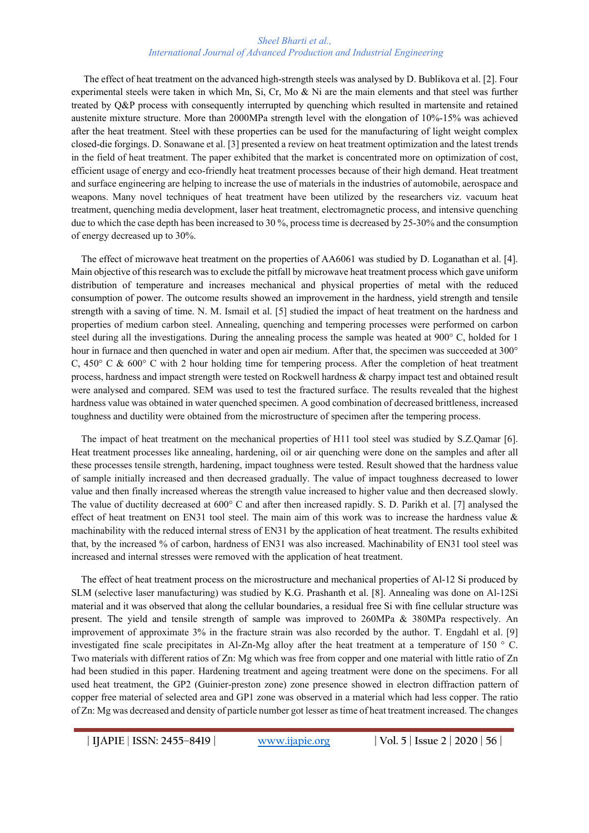The effect of heat treatment on the advanced high-strength steels was analysed by D. Bublikova et al. [2]. Four experimental steels were taken in which Mn, Si, Cr, Mo & Ni are the main elements and that steel was further treated by Q&P process with consequently interrupted by quenching which resulted in martensite and retained austenite mixture structure. More than 2000MPa strength level with the elongation of 10%-15% was achieved after the heat treatment. Steel with these properties can be used for the manufacturing of light weight complex closed-die forgings. D. Sonawane et al. [3] presented a review on heat treatment optimization and the latest trends in the field of heat treatment. The paper exhibited that the market is concentrated more on optimization of cost, efficient usage of energy and eco-friendly heat treatment processes because of their high demand. Heat treatment and surface engineering are helping to increase the use of materials in the industries of automobile, aerospace and weapons. Many novel techniques of heat treatment have been utilized by the researchers viz. vacuum heat treatment, quenching media development, laser heat treatment, electromagnetic process, and intensive quenching due to which the case depth has been increased to 30 %, process time is decreased by 25-30% and the consumption of energy decreased up to 30%.

 The effect of microwave heat treatment on the properties of AA6061 was studied by D. Loganathan et al. [4]. Main objective of this research was to exclude the pitfall by microwave heat treatment process which gave uniform distribution of temperature and increases mechanical and physical properties of metal with the reduced consumption of power. The outcome results showed an improvement in the hardness, yield strength and tensile strength with a saving of time. N. M. Ismail et al. [5] studied the impact of heat treatment on the hardness and properties of medium carbon steel. Annealing, quenching and tempering processes were performed on carbon steel during all the investigations. During the annealing process the sample was heated at 900° C, holded for 1 hour in furnace and then quenched in water and open air medium. After that, the specimen was succeeded at 300° C,  $450^{\circ}$  C &  $600^{\circ}$  C with 2 hour holding time for tempering process. After the completion of heat treatment process, hardness and impact strength were tested on Rockwell hardness & charpy impact test and obtained result were analysed and compared. SEM was used to test the fractured surface. The results revealed that the highest hardness value was obtained in water quenched specimen. A good combination of decreased brittleness, increased toughness and ductility were obtained from the microstructure of specimen after the tempering process.

 The impact of heat treatment on the mechanical properties of H11 tool steel was studied by S.Z.Qamar [6]. Heat treatment processes like annealing, hardening, oil or air quenching were done on the samples and after all these processes tensile strength, hardening, impact toughness were tested. Result showed that the hardness value of sample initially increased and then decreased gradually. The value of impact toughness decreased to lower value and then finally increased whereas the strength value increased to higher value and then decreased slowly. The value of ductility decreased at 600° C and after then increased rapidly. S. D. Parikh et al. [7] analysed the effect of heat treatment on EN31 tool steel. The main aim of this work was to increase the hardness value & machinability with the reduced internal stress of EN31 by the application of heat treatment. The results exhibited that, by the increased % of carbon, hardness of EN31 was also increased. Machinability of EN31 tool steel was increased and internal stresses were removed with the application of heat treatment.

 The effect of heat treatment process on the microstructure and mechanical properties of Al-12 Si produced by SLM (selective laser manufacturing) was studied by K.G. Prashanth et al. [8]. Annealing was done on Al-12Si material and it was observed that along the cellular boundaries, a residual free Si with fine cellular structure was present. The yield and tensile strength of sample was improved to 260MPa & 380MPa respectively. An improvement of approximate 3% in the fracture strain was also recorded by the author. T. Engdahl et al. [9] investigated fine scale precipitates in Al-Zn-Mg alloy after the heat treatment at a temperature of 150 ° C. Two materials with different ratios of Zn: Mg which was free from copper and one material with little ratio of Zn had been studied in this paper. Hardening treatment and ageing treatment were done on the specimens. For all used heat treatment, the GP2 (Guinier-preston zone) zone presence showed in electron diffraction pattern of copper free material of selected area and GP1 zone was observed in a material which had less copper. The ratio of Zn: Mg was decreased and density of particle number got lesser as time of heat treatment increased. The changes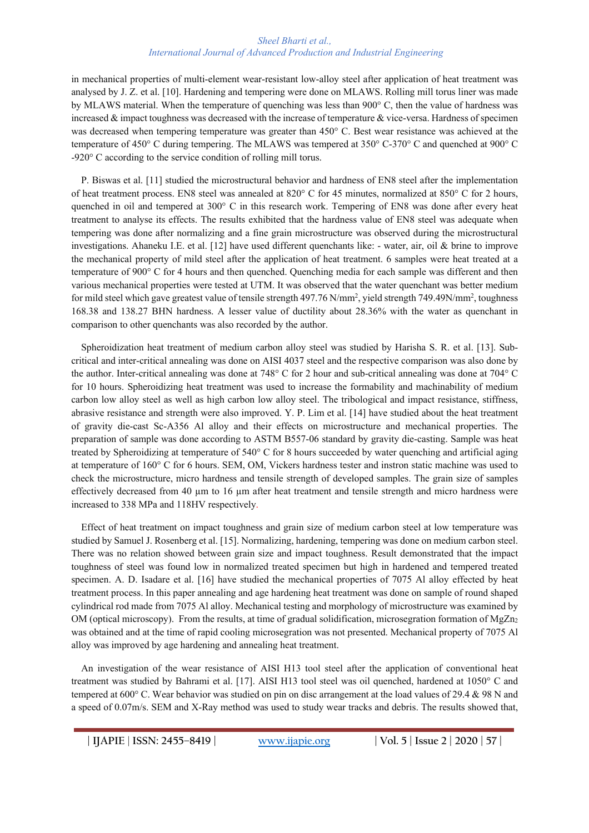in mechanical properties of multi-element wear-resistant low-alloy steel after application of heat treatment was analysed by J. Z. et al. [10]. Hardening and tempering were done on MLAWS. Rolling mill torus liner was made by MLAWS material. When the temperature of quenching was less than 900° C, then the value of hardness was increased  $\&$  impact toughness was decreased with the increase of temperature  $\&$  vice-versa. Hardness of specimen was decreased when tempering temperature was greater than 450° C. Best wear resistance was achieved at the temperature of 450° C during tempering. The MLAWS was tempered at 350° C-370° C and quenched at 900° C -920° C according to the service condition of rolling mill torus.

 P. Biswas et al. [11] studied the microstructural behavior and hardness of EN8 steel after the implementation of heat treatment process. EN8 steel was annealed at 820° C for 45 minutes, normalized at 850° C for 2 hours, quenched in oil and tempered at 300° C in this research work. Tempering of EN8 was done after every heat treatment to analyse its effects. The results exhibited that the hardness value of EN8 steel was adequate when tempering was done after normalizing and a fine grain microstructure was observed during the microstructural investigations. Ahaneku I.E. et al. [12] have used different quenchants like: - water, air, oil & brine to improve the mechanical property of mild steel after the application of heat treatment. 6 samples were heat treated at a temperature of 900° C for 4 hours and then quenched. Quenching media for each sample was different and then various mechanical properties were tested at UTM. It was observed that the water quenchant was better medium for mild steel which gave greatest value of tensile strength 497.76 N/mm<sup>2</sup>, yield strength 749.49N/mm<sup>2</sup>, toughness 168.38 and 138.27 BHN hardness. A lesser value of ductility about 28.36% with the water as quenchant in comparison to other quenchants was also recorded by the author.

 Spheroidization heat treatment of medium carbon alloy steel was studied by Harisha S. R. et al. [13]. Subcritical and inter-critical annealing was done on AISI 4037 steel and the respective comparison was also done by the author. Inter-critical annealing was done at 748° C for 2 hour and sub-critical annealing was done at 704° C for 10 hours. Spheroidizing heat treatment was used to increase the formability and machinability of medium carbon low alloy steel as well as high carbon low alloy steel. The tribological and impact resistance, stiffness, abrasive resistance and strength were also improved. Y. P. Lim et al. [14] have studied about the heat treatment of gravity die-cast Sc-A356 Al alloy and their effects on microstructure and mechanical properties. The preparation of sample was done according to ASTM B557-06 standard by gravity die-casting. Sample was heat treated by Spheroidizing at temperature of 540° C for 8 hours succeeded by water quenching and artificial aging at temperature of 160° C for 6 hours. SEM, OM, Vickers hardness tester and instron static machine was used to check the microstructure, micro hardness and tensile strength of developed samples. The grain size of samples effectively decreased from 40 µm to 16 µm after heat treatment and tensile strength and micro hardness were increased to 338 MPa and 118HV respectively.

 Effect of heat treatment on impact toughness and grain size of medium carbon steel at low temperature was studied by Samuel J. Rosenberg et al. [15]. Normalizing, hardening, tempering was done on medium carbon steel. There was no relation showed between grain size and impact toughness. Result demonstrated that the impact toughness of steel was found low in normalized treated specimen but high in hardened and tempered treated specimen. A. D. Isadare et al. [16] have studied the mechanical properties of 7075 Al alloy effected by heat treatment process. In this paper annealing and age hardening heat treatment was done on sample of round shaped cylindrical rod made from 7075 Al alloy. Mechanical testing and morphology of microstructure was examined by OM (optical microscopy). From the results, at time of gradual solidification, microsegration formation of MgZn<sub>2</sub> was obtained and at the time of rapid cooling microsegration was not presented. Mechanical property of 7075 Al alloy was improved by age hardening and annealing heat treatment.

 An investigation of the wear resistance of AISI H13 tool steel after the application of conventional heat treatment was studied by Bahrami et al. [17]. AISI H13 tool steel was oil quenched, hardened at 1050° C and tempered at 600° C. Wear behavior was studied on pin on disc arrangement at the load values of 29.4 & 98 N and a speed of 0.07m/s. SEM and X-Ray method was used to study wear tracks and debris. The results showed that,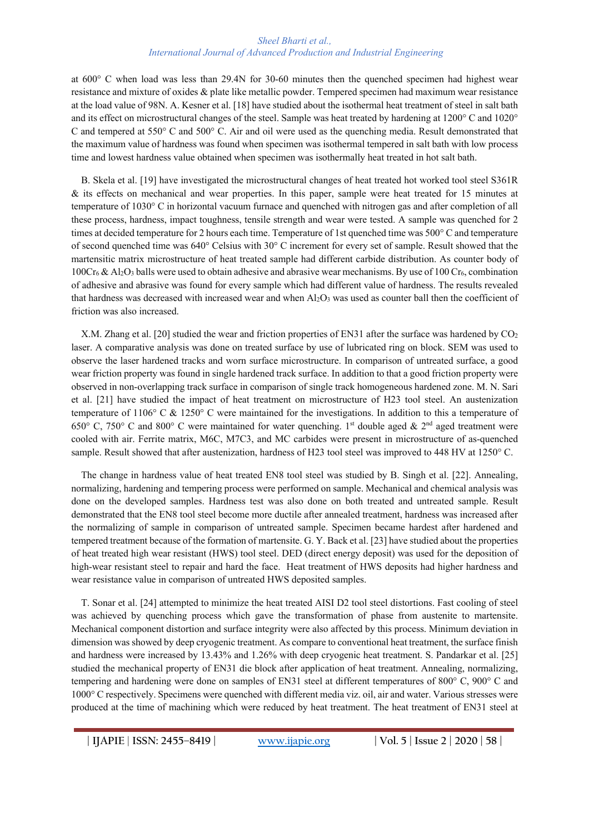at 600° C when load was less than 29.4N for 30-60 minutes then the quenched specimen had highest wear resistance and mixture of oxides & plate like metallic powder. Tempered specimen had maximum wear resistance at the load value of 98N. A. Kesner et al. [18] have studied about the isothermal heat treatment of steel in salt bath and its effect on microstructural changes of the steel. Sample was heat treated by hardening at 1200° C and 1020° C and tempered at 550° C and 500° C. Air and oil were used as the quenching media. Result demonstrated that the maximum value of hardness was found when specimen was isothermal tempered in salt bath with low process time and lowest hardness value obtained when specimen was isothermally heat treated in hot salt bath.

 B. Skela et al. [19] have investigated the microstructural changes of heat treated hot worked tool steel S361R & its effects on mechanical and wear properties. In this paper, sample were heat treated for 15 minutes at temperature of 1030° C in horizontal vacuum furnace and quenched with nitrogen gas and after completion of all these process, hardness, impact toughness, tensile strength and wear were tested. A sample was quenched for 2 times at decided temperature for 2 hours each time. Temperature of 1st quenched time was 500° C and temperature of second quenched time was 640° Celsius with 30° C increment for every set of sample. Result showed that the martensitic matrix microstructure of heat treated sample had different carbide distribution. As counter body of  $100Cr_6 \& Al_2O_3$  balls were used to obtain adhesive and abrasive wear mechanisms. By use of 100 Cr<sub>6</sub>, combination of adhesive and abrasive was found for every sample which had different value of hardness. The results revealed that hardness was decreased with increased wear and when  $Al_2O_3$  was used as counter ball then the coefficient of friction was also increased.

X.M. Zhang et al. [20] studied the wear and friction properties of EN31 after the surface was hardened by CO<sub>2</sub> laser. A comparative analysis was done on treated surface by use of lubricated ring on block. SEM was used to observe the laser hardened tracks and worn surface microstructure. In comparison of untreated surface, a good wear friction property was found in single hardened track surface. In addition to that a good friction property were observed in non-overlapping track surface in comparison of single track homogeneous hardened zone. M. N. Sari et al. [21] have studied the impact of heat treatment on microstructure of H23 tool steel. An austenization temperature of 1106° C & 1250° C were maintained for the investigations. In addition to this a temperature of 650° C, 750° C and 800° C were maintained for water quenching. 1<sup>st</sup> double aged & 2<sup>nd</sup> aged treatment were cooled with air. Ferrite matrix, M6C, M7C3, and MC carbides were present in microstructure of as-quenched sample. Result showed that after austenization, hardness of H23 tool steel was improved to 448 HV at 1250° C.

 The change in hardness value of heat treated EN8 tool steel was studied by B. Singh et al. [22]. Annealing, normalizing, hardening and tempering process were performed on sample. Mechanical and chemical analysis was done on the developed samples. Hardness test was also done on both treated and untreated sample. Result demonstrated that the EN8 tool steel become more ductile after annealed treatment, hardness was increased after the normalizing of sample in comparison of untreated sample. Specimen became hardest after hardened and tempered treatment because of the formation of martensite. G. Y. Back et al. [23] have studied about the properties of heat treated high wear resistant (HWS) tool steel. DED (direct energy deposit) was used for the deposition of high-wear resistant steel to repair and hard the face. Heat treatment of HWS deposits had higher hardness and wear resistance value in comparison of untreated HWS deposited samples.

 T. Sonar et al. [24] attempted to minimize the heat treated AISI D2 tool steel distortions. Fast cooling of steel was achieved by quenching process which gave the transformation of phase from austenite to martensite. Mechanical component distortion and surface integrity were also affected by this process. Minimum deviation in dimension was showed by deep cryogenic treatment. As compare to conventional heat treatment, the surface finish and hardness were increased by 13.43% and 1.26% with deep cryogenic heat treatment. S. Pandarkar et al. [25] studied the mechanical property of EN31 die block after application of heat treatment. Annealing, normalizing, tempering and hardening were done on samples of EN31 steel at different temperatures of 800° C, 900° C and 1000° C respectively. Specimens were quenched with different media viz. oil, air and water. Various stresses were produced at the time of machining which were reduced by heat treatment. The heat treatment of EN31 steel at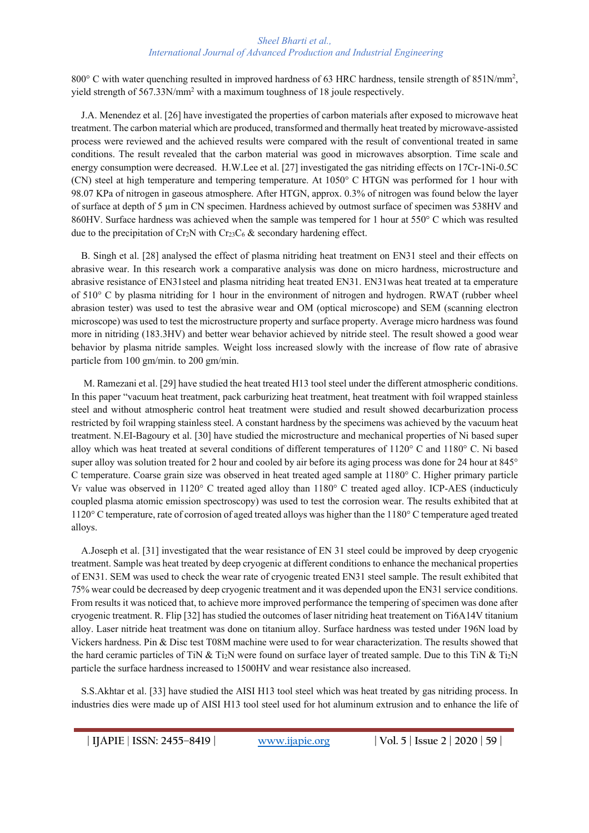800° C with water quenching resulted in improved hardness of 63 HRC hardness, tensile strength of 851N/mm<sup>2</sup>, yield strength of 567.33N/mm2 with a maximum toughness of 18 joule respectively.

 J.A. Menendez et al. [26] have investigated the properties of carbon materials after exposed to microwave heat treatment. The carbon material which are produced, transformed and thermally heat treated by microwave-assisted process were reviewed and the achieved results were compared with the result of conventional treated in same conditions. The result revealed that the carbon material was good in microwaves absorption. Time scale and energy consumption were decreased. H.W.Lee et al. [27] investigated the gas nitriding effects on 17Cr-1Ni-0.5C (CN) steel at high temperature and tempering temperature. At 1050° C HTGN was performed for 1 hour with 98.07 KPa of nitrogen in gaseous atmosphere. After HTGN, approx. 0.3% of nitrogen was found below the layer of surface at depth of 5 µm in CN specimen. Hardness achieved by outmost surface of specimen was 538HV and 860HV. Surface hardness was achieved when the sample was tempered for 1 hour at 550° C which was resulted due to the precipitation of Cr<sub>2</sub>N with Cr<sub>23</sub>C<sub>6</sub> & secondary hardening effect.

 B. Singh et al. [28] analysed the effect of plasma nitriding heat treatment on EN31 steel and their effects on abrasive wear. In this research work a comparative analysis was done on micro hardness, microstructure and abrasive resistance of EN31steel and plasma nitriding heat treated EN31. EN31was heat treated at ta emperature of 510° C by plasma nitriding for 1 hour in the environment of nitrogen and hydrogen. RWAT (rubber wheel abrasion tester) was used to test the abrasive wear and OM (optical microscope) and SEM (scanning electron microscope) was used to test the microstructure property and surface property. Average micro hardness was found more in nitriding (183.3HV) and better wear behavior achieved by nitride steel. The result showed a good wear behavior by plasma nitride samples. Weight loss increased slowly with the increase of flow rate of abrasive particle from 100 gm/min. to 200 gm/min.

 M. Ramezani et al. [29] have studied the heat treated H13 tool steel under the different atmospheric conditions. In this paper "vacuum heat treatment, pack carburizing heat treatment, heat treatment with foil wrapped stainless steel and without atmospheric control heat treatment were studied and result showed decarburization process restricted by foil wrapping stainless steel. A constant hardness by the specimens was achieved by the vacuum heat treatment. N.EI-Bagoury et al. [30] have studied the microstructure and mechanical properties of Ni based super alloy which was heat treated at several conditions of different temperatures of 1120° C and 1180° C. Ni based super alloy was solution treated for 2 hour and cooled by air before its aging process was done for 24 hour at 845° C temperature. Coarse grain size was observed in heat treated aged sample at 1180° C. Higher primary particle VF value was observed in 1120° C treated aged alloy than 1180° C treated aged alloy. ICP-AES (inducticuly coupled plasma atomic emission spectroscopy) was used to test the corrosion wear. The results exhibited that at 1120° C temperature, rate of corrosion of aged treated alloys was higher than the 1180° C temperature aged treated alloys.

 A.Joseph et al. [31] investigated that the wear resistance of EN 31 steel could be improved by deep cryogenic treatment. Sample was heat treated by deep cryogenic at different conditions to enhance the mechanical properties of EN31. SEM was used to check the wear rate of cryogenic treated EN31 steel sample. The result exhibited that 75% wear could be decreased by deep cryogenic treatment and it was depended upon the EN31 service conditions. From results it was noticed that, to achieve more improved performance the tempering of specimen was done after cryogenic treatment. R. Flip [32] has studied the outcomes of laser nitriding heat treatement on Ti6A14V titanium alloy. Laser nitride heat treatment was done on titanium alloy. Surface hardness was tested under 196N load by Vickers hardness. Pin & Disc test T08M machine were used to for wear characterization. The results showed that the hard ceramic particles of TiN & Ti<sub>2</sub>N were found on surface layer of treated sample. Due to this TiN & Ti<sub>2</sub>N particle the surface hardness increased to 1500HV and wear resistance also increased.

 S.S.Akhtar et al. [33] have studied the AISI H13 tool steel which was heat treated by gas nitriding process. In industries dies were made up of AISI H13 tool steel used for hot aluminum extrusion and to enhance the life of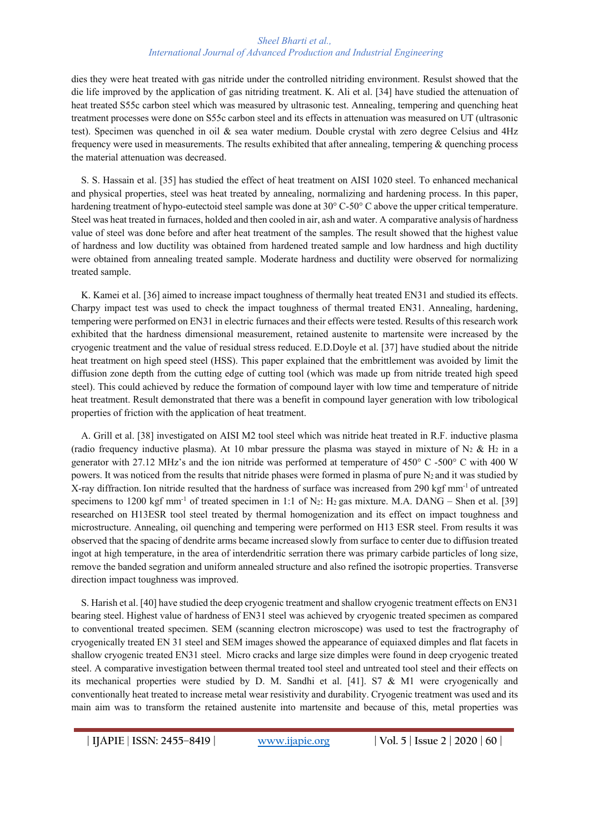dies they were heat treated with gas nitride under the controlled nitriding environment. Resulst showed that the die life improved by the application of gas nitriding treatment. K. Ali et al. [34] have studied the attenuation of heat treated S55c carbon steel which was measured by ultrasonic test. Annealing, tempering and quenching heat treatment processes were done on S55c carbon steel and its effects in attenuation was measured on UT (ultrasonic test). Specimen was quenched in oil & sea water medium. Double crystal with zero degree Celsius and 4Hz frequency were used in measurements. The results exhibited that after annealing, tempering & quenching process the material attenuation was decreased.

 S. S. Hassain et al. [35] has studied the effect of heat treatment on AISI 1020 steel. To enhanced mechanical and physical properties, steel was heat treated by annealing, normalizing and hardening process. In this paper, hardening treatment of hypo-eutectoid steel sample was done at 30° C-50° C above the upper critical temperature. Steel was heat treated in furnaces, holded and then cooled in air, ash and water. A comparative analysis of hardness value of steel was done before and after heat treatment of the samples. The result showed that the highest value of hardness and low ductility was obtained from hardened treated sample and low hardness and high ductility were obtained from annealing treated sample. Moderate hardness and ductility were observed for normalizing treated sample.

 K. Kamei et al. [36] aimed to increase impact toughness of thermally heat treated EN31 and studied its effects. Charpy impact test was used to check the impact toughness of thermal treated EN31. Annealing, hardening, tempering were performed on EN31 in electric furnaces and their effects were tested. Results of this research work exhibited that the hardness dimensional measurement, retained austenite to martensite were increased by the cryogenic treatment and the value of residual stress reduced. E.D.Doyle et al. [37] have studied about the nitride heat treatment on high speed steel (HSS). This paper explained that the embrittlement was avoided by limit the diffusion zone depth from the cutting edge of cutting tool (which was made up from nitride treated high speed steel). This could achieved by reduce the formation of compound layer with low time and temperature of nitride heat treatment. Result demonstrated that there was a benefit in compound layer generation with low tribological properties of friction with the application of heat treatment.

 A. Grill et al. [38] investigated on AISI M2 tool steel which was nitride heat treated in R.F. inductive plasma (radio frequency inductive plasma). At 10 mbar pressure the plasma was stayed in mixture of N<sub>2</sub> & H<sub>2</sub> in a generator with 27.12 MHz's and the ion nitride was performed at temperature of 450° C -500° C with 400 W powers. It was noticed from the results that nitride phases were formed in plasma of pure N<sub>2</sub> and it was studied by X-ray diffraction. Ion nitride resulted that the hardness of surface was increased from 290 kgf mm-1 of untreated specimens to 1200 kgf mm<sup>-1</sup> of treated specimen in 1:1 of N<sub>2</sub>: H<sub>2</sub> gas mixture. M.A. DANG – Shen et al. [39] researched on H13ESR tool steel treated by thermal homogenization and its effect on impact toughness and microstructure. Annealing, oil quenching and tempering were performed on H13 ESR steel. From results it was observed that the spacing of dendrite arms became increased slowly from surface to center due to diffusion treated ingot at high temperature, in the area of interdendritic serration there was primary carbide particles of long size, remove the banded segration and uniform annealed structure and also refined the isotropic properties. Transverse direction impact toughness was improved.

 S. Harish et al. [40] have studied the deep cryogenic treatment and shallow cryogenic treatment effects on EN31 bearing steel. Highest value of hardness of EN31 steel was achieved by cryogenic treated specimen as compared to conventional treated specimen. SEM (scanning electron microscope) was used to test the fractrography of cryogenically treated EN 31 steel and SEM images showed the appearance of equiaxed dimples and flat facets in shallow cryogenic treated EN31 steel. Micro cracks and large size dimples were found in deep cryogenic treated steel. A comparative investigation between thermal treated tool steel and untreated tool steel and their effects on its mechanical properties were studied by D. M. Sandhi et al. [41]. S7 & M1 were cryogenically and conventionally heat treated to increase metal wear resistivity and durability. Cryogenic treatment was used and its main aim was to transform the retained austenite into martensite and because of this, metal properties was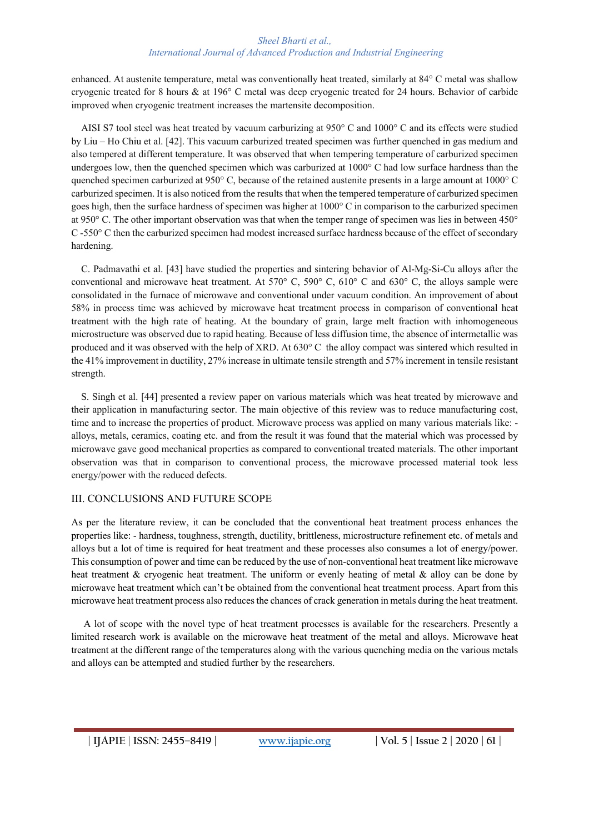enhanced. At austenite temperature, metal was conventionally heat treated, similarly at 84° C metal was shallow cryogenic treated for 8 hours & at 196° C metal was deep cryogenic treated for 24 hours. Behavior of carbide improved when cryogenic treatment increases the martensite decomposition.

 AISI S7 tool steel was heat treated by vacuum carburizing at 950° C and 1000° C and its effects were studied by Liu – Ho Chiu et al. [42]. This vacuum carburized treated specimen was further quenched in gas medium and also tempered at different temperature. It was observed that when tempering temperature of carburized specimen undergoes low, then the quenched specimen which was carburized at 1000° C had low surface hardness than the quenched specimen carburized at 950° C, because of the retained austenite presents in a large amount at 1000° C carburized specimen. It is also noticed from the results that when the tempered temperature of carburized specimen goes high, then the surface hardness of specimen was higher at 1000° C in comparison to the carburized specimen at 950° C. The other important observation was that when the temper range of specimen was lies in between 450° C -550° C then the carburized specimen had modest increased surface hardness because of the effect of secondary hardening.

 C. Padmavathi et al. [43] have studied the properties and sintering behavior of Al-Mg-Si-Cu alloys after the conventional and microwave heat treatment. At 570° C, 590° C, 610° C and 630° C, the alloys sample were consolidated in the furnace of microwave and conventional under vacuum condition. An improvement of about 58% in process time was achieved by microwave heat treatment process in comparison of conventional heat treatment with the high rate of heating. At the boundary of grain, large melt fraction with inhomogeneous microstructure was observed due to rapid heating. Because of less diffusion time, the absence of intermetallic was produced and it was observed with the help of XRD. At 630° C the alloy compact was sintered which resulted in the 41% improvement in ductility, 27% increase in ultimate tensile strength and 57% increment in tensile resistant strength.

 S. Singh et al. [44] presented a review paper on various materials which was heat treated by microwave and their application in manufacturing sector. The main objective of this review was to reduce manufacturing cost, time and to increase the properties of product. Microwave process was applied on many various materials like: alloys, metals, ceramics, coating etc. and from the result it was found that the material which was processed by microwave gave good mechanical properties as compared to conventional treated materials. The other important observation was that in comparison to conventional process, the microwave processed material took less energy/power with the reduced defects.

## III. CONCLUSIONS AND FUTURE SCOPE

As per the literature review, it can be concluded that the conventional heat treatment process enhances the properties like: - hardness, toughness, strength, ductility, brittleness, microstructure refinement etc. of metals and alloys but a lot of time is required for heat treatment and these processes also consumes a lot of energy/power. This consumption of power and time can be reduced by the use of non-conventional heat treatment like microwave heat treatment & cryogenic heat treatment. The uniform or evenly heating of metal & alloy can be done by microwave heat treatment which can't be obtained from the conventional heat treatment process. Apart from this microwave heat treatment process also reduces the chances of crack generation in metals during the heat treatment.

 A lot of scope with the novel type of heat treatment processes is available for the researchers. Presently a limited research work is available on the microwave heat treatment of the metal and alloys. Microwave heat treatment at the different range of the temperatures along with the various quenching media on the various metals and alloys can be attempted and studied further by the researchers.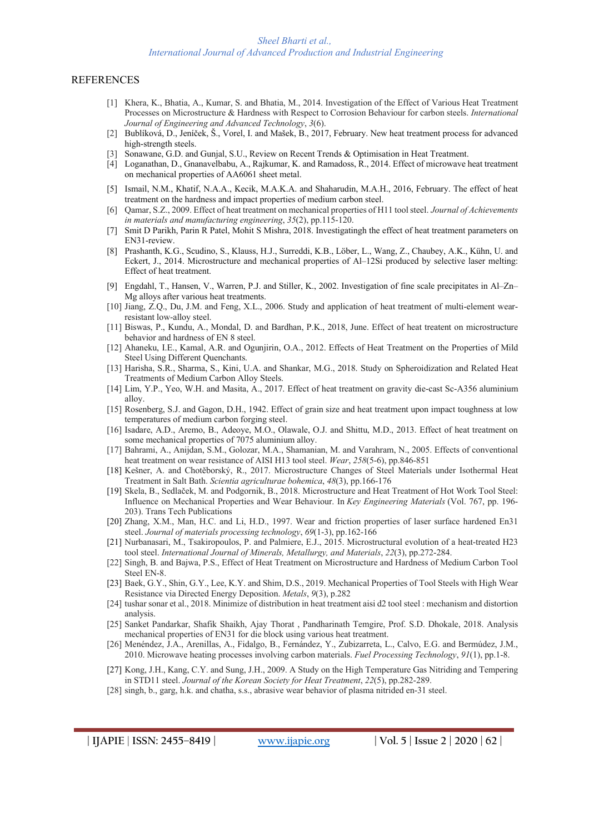#### REFERENCES

- [1] Khera, K., Bhatia, A., Kumar, S. and Bhatia, M., 2014. Investigation of the Effect of Various Heat Treatment Processes on Microstructure & Hardness with Respect to Corrosion Behaviour for carbon steels. *International Journal of Engineering and Advanced Technology*, *3*(6).
- [2] Bublíková, D., Jeníček, Š., Vorel, I. and Mašek, B., 2017, February. New heat treatment process for advanced high-strength steels.
- Sonawane, G.D. and Gunjal, S.U., Review on Recent Trends & Optimisation in Heat Treatment.
- [4] Loganathan, D., Gnanavelbabu, A., Rajkumar, K. and Ramadoss, R., 2014. Effect of microwave heat treatment on mechanical properties of AA6061 sheet metal.
- [5] Ismail, N.M., Khatif, N.A.A., Kecik, M.A.K.A. and Shaharudin, M.A.H., 2016, February. The effect of heat treatment on the hardness and impact properties of medium carbon steel.
- [6] Qamar, S.Z., 2009. Effect of heat treatment on mechanical properties of H11 tool steel. *Journal of Achievements in materials and manufacturing engineering*, *35*(2), pp.115-120.
- [7] Smit D Parikh, Parin R Patel, Mohit S Mishra, 2018. Investigatingh the effect of heat treatment parameters on EN31-review.
- [8] Prashanth, K.G., Scudino, S., Klauss, H.J., Surreddi, K.B., Löber, L., Wang, Z., Chaubey, A.K., Kühn, U. and Eckert, J., 2014. Microstructure and mechanical properties of Al–12Si produced by selective laser melting: Effect of heat treatment.
- [9] Engdahl, T., Hansen, V., Warren, P.J. and Stiller, K., 2002. Investigation of fine scale precipitates in Al–Zn– Mg alloys after various heat treatments.
- [10] Jiang, Z.Q., Du, J.M. and Feng, X.L., 2006. Study and application of heat treatment of multi-element wearresistant low-alloy steel.
- [11] Biswas, P., Kundu, A., Mondal, D. and Bardhan, P.K., 2018, June. Effect of heat treatent on microstructure behavior and hardness of EN 8 steel.
- [12] Ahaneku, I.E., Kamal, A.R. and Ogunjirin, O.A., 2012. Effects of Heat Treatment on the Properties of Mild Steel Using Different Quenchants.
- [13] Harisha, S.R., Sharma, S., Kini, U.A. and Shankar, M.G., 2018. Study on Spheroidization and Related Heat Treatments of Medium Carbon Alloy Steels.
- [14] Lim, Y.P., Yeo, W.H. and Masita, A., 2017. Effect of heat treatment on gravity die-cast Sc-A356 aluminium alloy.
- [15] Rosenberg, S.J. and Gagon, D.H., 1942. Effect of grain size and heat treatment upon impact toughness at low temperatures of medium carbon forging steel.
- [16] Isadare, A.D., Aremo, B., Adeoye, M.O., Olawale, O.J. and Shittu, M.D., 2013. Effect of heat treatment on some mechanical properties of 7075 aluminium alloy.
- [17] Bahrami, A., Anijdan, S.M., Golozar, M.A., Shamanian, M. and Varahram, N., 2005. Effects of conventional heat treatment on wear resistance of AISI H13 tool steel. *Wear*, *258*(5-6), pp.846-851
- [18] Kešner, A. and Chotěborský, R., 2017. Microstructure Changes of Steel Materials under Isothermal Heat Treatment in Salt Bath. *Scientia agriculturae bohemica*, *48*(3), pp.166-176
- [19] Skela, B., Sedlaček, M. and Podgornik, B., 2018. Microstructure and Heat Treatment of Hot Work Tool Steel: Influence on Mechanical Properties and Wear Behaviour. In *Key Engineering Materials* (Vol. 767, pp. 196- 203). Trans Tech Publications
- [20] Zhang, X.M., Man, H.C. and Li, H.D., 1997. Wear and friction properties of laser surface hardened En31 steel. *Journal of materials processing technology*, *69*(1-3), pp.162-166
- [21] Nurbanasari, M., Tsakiropoulos, P. and Palmiere, E.J., 2015. Microstructural evolution of a heat-treated H23 tool steel. *International Journal of Minerals, Metallurgy, and Materials*, *22*(3), pp.272-284.
- [22] Singh, B. and Bajwa, P.S., Effect of Heat Treatment on Microstructure and Hardness of Medium Carbon Tool Steel EN-8.
- [23] Baek, G.Y., Shin, G.Y., Lee, K.Y. and Shim, D.S., 2019. Mechanical Properties of Tool Steels with High Wear Resistance via Directed Energy Deposition. *Metals*, *9*(3), p.282
- [24] tushar sonar et al., 2018. Minimize of distribution in heat treatment aisi d2 tool steel : mechanism and distortion analysis.
- [25] Sanket Pandarkar, Shafik Shaikh, Ajay Thorat , Pandharinath Temgire, Prof. S.D. Dhokale, 2018. Analysis mechanical properties of EN31 for die block using various heat treatment.
- [26] Menéndez, J.A., Arenillas, A., Fidalgo, B., Fernández, Y., Zubizarreta, L., Calvo, E.G. and Bermúdez, J.M., 2010. Microwave heating processes involving carbon materials. *Fuel Processing Technology*, *91*(1), pp.1-8.
- [27] Kong, J.H., Kang, C.Y. and Sung, J.H., 2009. A Study on the High Temperature Gas Nitriding and Tempering in STD11 steel. *Journal of the Korean Society for Heat Treatment*, *22*(5), pp.282-289.
- [28] singh, b., garg, h.k. and chatha, s.s., abrasive wear behavior of plasma nitrided en-31 steel.